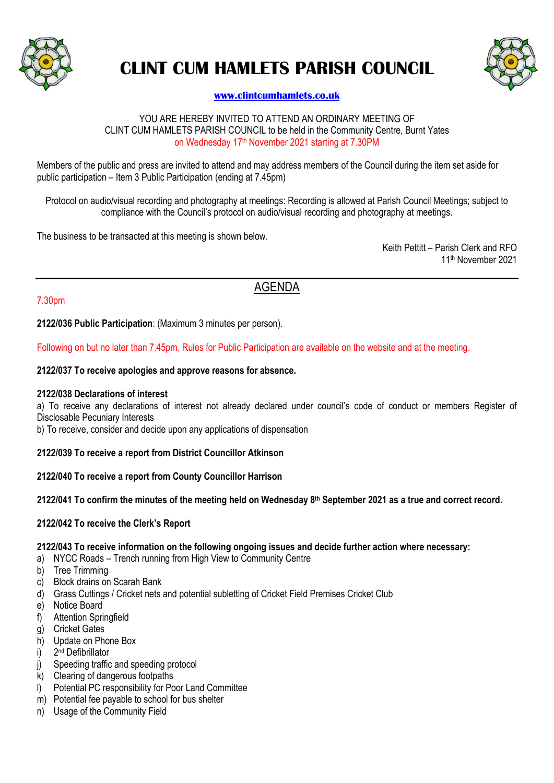

# **CLINT CUM HAMLETS PARISH COUNCIL**



# **[www.clintcumhamlets.co.uk](http://www.clintcumhamlets.co.uk/)**

#### YOU ARE HEREBY INVITED TO ATTEND AN ORDINARY MEETING OF CLINT CUM HAMLETS PARISH COUNCIL to be held in the Community Centre, Burnt Yates on Wednesday 17<sup>th</sup> November 2021 starting at 7.30PM

Members of the public and press are invited to attend and may address members of the Council during the item set aside for public participation – Item 3 Public Participation (ending at 7.45pm)

Protocol on audio/visual recording and photography at meetings: Recording is allowed at Parish Council Meetings; subject to compliance with the Council's protocol on audio/visual recording and photography at meetings.

The business to be transacted at this meeting is shown below.

Keith Pettitt – Parish Clerk and RFO 11 th November 2021

# AGENDA

#### 7.30pm

**2122/036 Public Participation**: (Maximum 3 minutes per person).

Following on but no later than 7.45pm. Rules for Public Participation are available on the website and at the meeting.

#### **2122/037 To receive apologies and approve reasons for absence.**

#### **2122/038 Declarations of interest**

a) To receive any declarations of interest not already declared under council's code of conduct or members Register of Disclosable Pecuniary Interests

b) To receive, consider and decide upon any applications of dispensation

#### **2122/039 To receive a report from District Councillor Atkinson**

#### **2122/040 To receive a report from County Councillor Harrison**

#### **2122/041 To confirm the minutes of the meeting held on Wednesday 8 th September 2021 as a true and correct record.**

#### **2122/042 To receive the Clerk's Report**

#### **2122/043 To receive information on the following ongoing issues and decide further action where necessary:**

- a) NYCC Roads Trench running from High View to Community Centre
- b) Tree Trimming
- c) Block drains on Scarah Bank
- d) Grass Cuttings / Cricket nets and potential subletting of Cricket Field Premises Cricket Club
- e) Notice Board
- f) Attention Springfield
- g) Cricket Gates
- h) Update on Phone Box
- $i)$ 2<sup>nd</sup> Defibrillator
- j) Speeding traffic and speeding protocol
- k) Clearing of dangerous footpaths
- l) Potential PC responsibility for Poor Land Committee
- m) Potential fee payable to school for bus shelter
- n) Usage of the Community Field